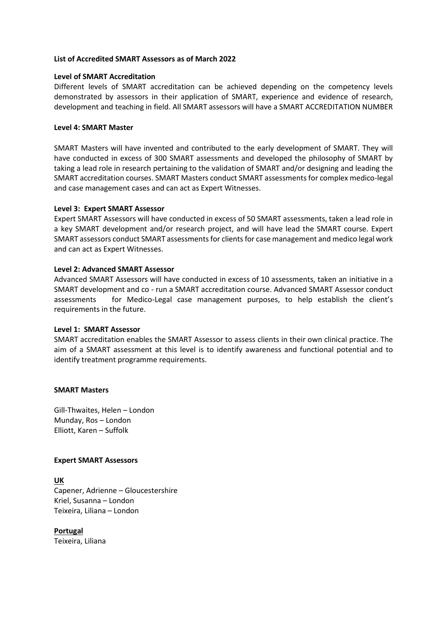## **List of Accredited SMART Assessors as of March 2022**

### **Level of SMART Accreditation**

Different levels of SMART accreditation can be achieved depending on the competency levels demonstrated by assessors in their application of SMART, experience and evidence of research, development and teaching in field. All SMART assessors will have a SMART ACCREDITATION NUMBER

# **Level 4: SMART Master**

SMART Masters will have invented and contributed to the early development of SMART. They will have conducted in excess of 300 SMART assessments and developed the philosophy of SMART by taking a lead role in research pertaining to the validation of SMART and/or designing and leading the SMART accreditation courses. SMART Masters conduct SMART assessments for complex medico-legal and case management cases and can act as Expert Witnesses.

### **Level 3: Expert SMART Assessor**

Expert SMART Assessors will have conducted in excess of 50 SMART assessments, taken a lead role in a key SMART development and/or research project, and will have lead the SMART course. Expert SMART assessors conduct SMART assessmentsfor clientsfor case management and medico legal work and can act as Expert Witnesses.

### **Level 2: Advanced SMART Assessor**

Advanced SMART Assessors will have conducted in excess of 10 assessments, taken an initiative in a SMART development and co - run a SMART accreditation course. Advanced SMART Assessor conduct assessments for Medico-Legal case management purposes, to help establish the client's requirements in the future.

#### **Level 1: SMART Assessor**

SMART accreditation enables the SMART Assessor to assess clients in their own clinical practice. The aim of a SMART assessment at this level is to identify awareness and functional potential and to identify treatment programme requirements.

# **SMART Masters**

Gill-Thwaites, Helen – London Munday, Ros – London Elliott, Karen – Suffolk

# **Expert SMART Assessors**

**UK**

Capener, Adrienne – Gloucestershire Kriel, Susanna – London Teixeira, Liliana – London

# **Portugal**

Teixeira, Liliana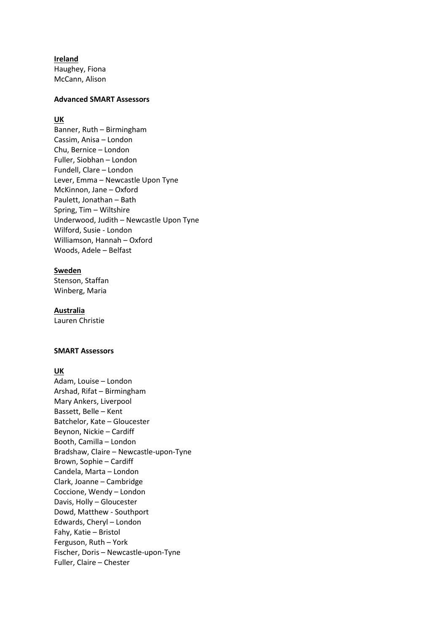# **Ireland**

Haughey, Fiona McCann, Alison

## **Advanced SMART Assessors**

# **UK**

Banner, Ruth – Birmingham Cassim, Anisa – London Chu, Bernice – London Fuller, Siobhan – London Fundell, Clare – London Lever, Emma – Newcastle Upon Tyne McKinnon, Jane – Oxford Paulett, Jonathan – Bath Spring, Tim – Wiltshire Underwood, Judith – Newcastle Upon Tyne Wilford, Susie - London Williamson, Hannah – Oxford Woods, Adele – Belfast

# **Sweden**

Stenson, Staffan Winberg, Maria

# **Australia**

Lauren Christie

# **SMART Assessors**

# **UK**

Adam, Louise – London Arshad, Rifat – Birmingham Mary Ankers, Liverpool Bassett, Belle – Kent Batchelor, Kate – Gloucester Beynon, Nickie – Cardiff Booth, Camilla – London Bradshaw, Claire – Newcastle-upon-Tyne Brown, Sophie – Cardiff Candela, Marta – London Clark, Joanne – Cambridge Coccione, Wendy – London Davis, Holly – Gloucester Dowd, Matthew - Southport Edwards, Cheryl – London Fahy, Katie – Bristol Ferguson, Ruth – York Fischer, Doris – Newcastle-upon-Tyne Fuller, Claire – Chester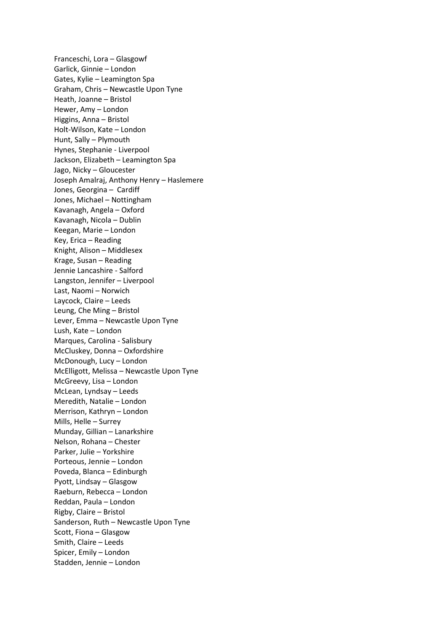Franceschi, Lora – Glasgowf Garlick, Ginnie – London Gates, Kylie – Leamington Spa Graham, Chris – Newcastle Upon Tyne Heath, Joanne – Bristol Hewer, Amy – London Higgins, Anna – Bristol Holt-Wilson, Kate – London Hunt, Sally – Plymouth Hynes, Stephanie - Liverpool Jackson, Elizabeth – Leamington Spa Jago, Nicky – Gloucester Joseph Amalraj, Anthony Henry – Haslemere Jones, Georgina – Cardiff Jones, Michael – Nottingham Kavanagh, Angela – Oxford Kavanagh, Nicola – Dublin Keegan, Marie – London Key, Erica – Reading Knight, Alison – Middlesex Krage, Susan – Reading Jennie Lancashire - Salford Langston, Jennifer – Liverpool Last, Naomi – Norwich Laycock, Claire – Leeds Leung, Che Ming – Bristol Lever, Emma – Newcastle Upon Tyne Lush, Kate – London Marques, Carolina - Salisbury McCluskey, Donna – Oxfordshire McDonough, Lucy – London McElligott, Melissa – Newcastle Upon Tyne McGreevy, Lisa – London McLean, Lyndsay – Leeds Meredith, Natalie – London Merrison, Kathryn – London Mills, Helle – Surrey Munday, Gillian – Lanarkshire Nelson, Rohana – Chester Parker, Julie – Yorkshire Porteous, Jennie – London Poveda, Blanca – Edinburgh Pyott, Lindsay – Glasgow Raeburn, Rebecca – London Reddan, Paula – London Rigby, Claire – Bristol Sanderson, Ruth – Newcastle Upon Tyne Scott, Fiona – Glasgow Smith, Claire – Leeds Spicer, Emily – London Stadden, Jennie – London